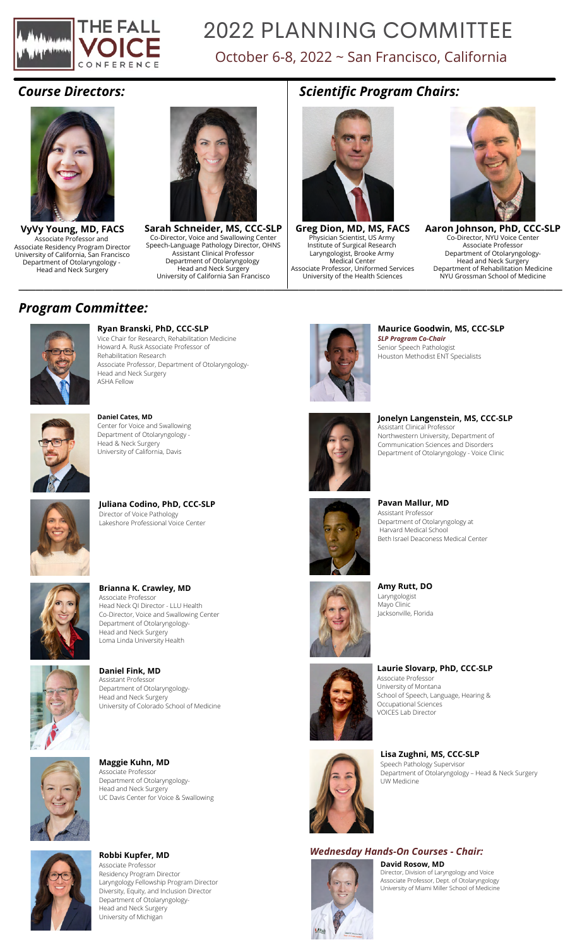

# 2022 PLANNING COMMITTEE

## October 6-8, 2022 ~ San Francisco, California

#### *Course Directors:*



**VyVy Young, MD, FACS** Associate Professor and Associate Residency Program Director University of California, San Francisco Department of Otolaryngology - Head and Neck Surgery



**Sarah Schneider, MS, CCC-SLP** Co-Director, Voice and Swallowing Center Speech-Language Pathology Director, OHNS Assistant Clinical Professor Department of Otolaryngology Head and Neck Surgery University of California San Francisco

### *Scientific Program Chairs:*



**Greg Dion, MD, MS, FACS** Physician Scientist, US Army Institute of Surgical Research Laryngologist, Brooke Army Medical Center Associate Professor, Uniformed Services University of the Health Sciences



**Aaron Johnson, PhD, CCC-SLP** Co-Director, NYU Voice Center Associate Professor Department of Otolaryngology-Head and Neck Surgery Department of Rehabilitation Medicine NYU Grossman School of Medicine University of California San Francisco University of the Health Sciences NYU Grossman School of Medicine





**Ryan Branski, PhD, CCC-SLP** Vice Chair for Research, Rehabilitation Medicine Howard A. Rusk Associate Professor of Rehabilitation Research Associate Professor, Department of Otolaryngology-Head and Neck Surgery ASHA Fellow



#### **Daniel Cates, MD** Center for Voice and Swallowing Department of Otolaryngology - Head & Neck Surgery University of California, Davis



**Juliana Codino, PhD, CCC-SLP** Director of Voice Pathology Lakeshore Professional Voice Center



**Brianna K. Crawley, MD** Associate Professor Head Neck QI Director - LLU Health Co-Director, Voice and Swallowing Center Department of Otolaryngology-Head and Neck Surgery Loma Linda University Health



**Daniel Fink, MD** Assistant Professor Department of Otolaryngology-Head and Neck Surgery University of Colorado School of Medicine



**Maggie Kuhn, MD** Associate Professo Department of Otolaryngology-Head and Neck Surgery UC Davis Center for Voice & Swallowing



**Robbi Kupfer, MD** Associate Professor Residency Program Director Laryngology Fellowship Program Director Diversity, Equity, and Inclusion Director Department of Otolaryngology-Head and Neck Surgery University of Michigan



**Maurice Goodwin, MS, CCC-SLP** *SLP Program Co-Chair* Senior Speech Pathologist Houston Methodist ENT Specialists



**Jonelyn Langenstein, MS, CCC-SLP** Assistant Clinical Professo Northwestern University, Department of Communication Sciences and Disorders Department of Otolaryngology - Voice Clinic



Assistant Professor Department of Otolaryngology at Harvard Medical School Beth Israel Deaconess Medical Center



**Amy Rutt, DO** Laryngologist Mayo Clinic Jacksonville, Florida



**Laurie Slovarp, PhD, CCC-SLP** Associate Professor University of Montana School of Speech, Language, Hearing & Occupational Sciences VOICES Lab Director



**Lisa Zughni, MS, CCC-SLP** Speech Pathology Supervisor Department of Otolaryngology – Head & Neck Surgery UW Medicine

### *Wednesday Hands-On Courses - Chair:*



**David Rosow, MD** Director, Division of Laryngology and Voice Associate Professor, Dept. of Otolaryngology University of Miami Miller School of Medicine